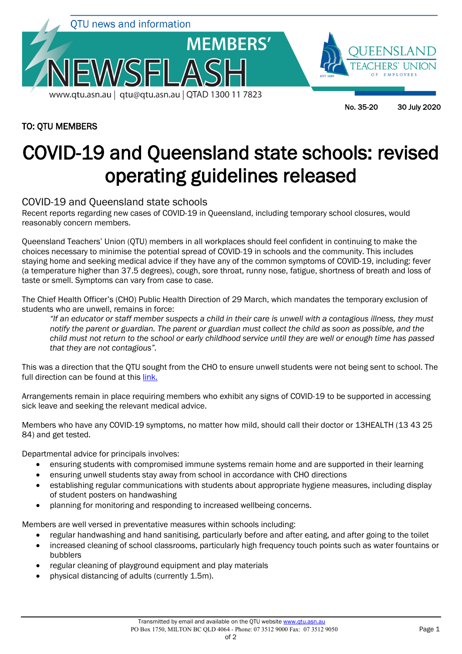

## TO: QTU MEMBERS

No. 35-20 30 July 2020

# COVID-19 and Queensland state schools: revised operating guidelines released

## COVID-19 and Queensland state schools

Recent reports regarding new cases of COVID-19 in Queensland, including temporary school closures, would reasonably concern members.

Queensland Teachers' Union (QTU) members in all workplaces should feel confident in continuing to make the choices necessary to minimise the potential spread of COVID-19 in schools and the community. This includes staying home and seeking medical advice if they have any of the common symptoms of COVID-19, including: fever (a temperature higher than 37.5 degrees), cough, sore throat, runny nose, fatigue, shortness of breath and loss of taste or smell. Symptoms can vary from case to case.

The Chief Health Officer's (CHO) Public Health Direction of 29 March, which mandates the temporary exclusion of students who are unwell, remains in force:

*"If an educator or staff member suspects a child in their care is unwell with a contagious illness, they must notify the parent or guardian. The parent or guardian must collect the child as soon as possible, and the child must not return to the school or early childhood service until they are well or enough time has passed that they are not contagious".*

This was a direction that the QTU sought from the CHO to ensure unwell students were not being sent to school. The full direction can be found at this [link.](https://www.health.qld.gov.au/system-governance/legislation/cho-public-health-directions-under-expanded-public-health-act-powers/school-and-early-childhood-service-exclusion-direction)

Arrangements remain in place requiring members who exhibit any signs of COVID-19 to be supported in accessing sick leave and seeking the relevant medical advice.

Members who have any COVID-19 symptoms, no matter how mild, should call their doctor or 13HEALTH (13 43 25 84) and get tested.

Departmental advice for principals involves:

- ensuring students with compromised immune systems remain home and are supported in their learning
- ensuring unwell students stay away from school in accordance with CHO directions
- establishing regular communications with students about appropriate hygiene measures, including display of student posters on handwashing
- planning for monitoring and responding to increased wellbeing concerns.

Members are well versed in preventative measures within schools including:

- regular handwashing and hand sanitising, particularly before and after eating, and after going to the toilet
- increased cleaning of school classrooms, particularly high frequency touch points such as water fountains or bubblers
- regular cleaning of playground equipment and play materials
- physical distancing of adults (currently 1.5m).